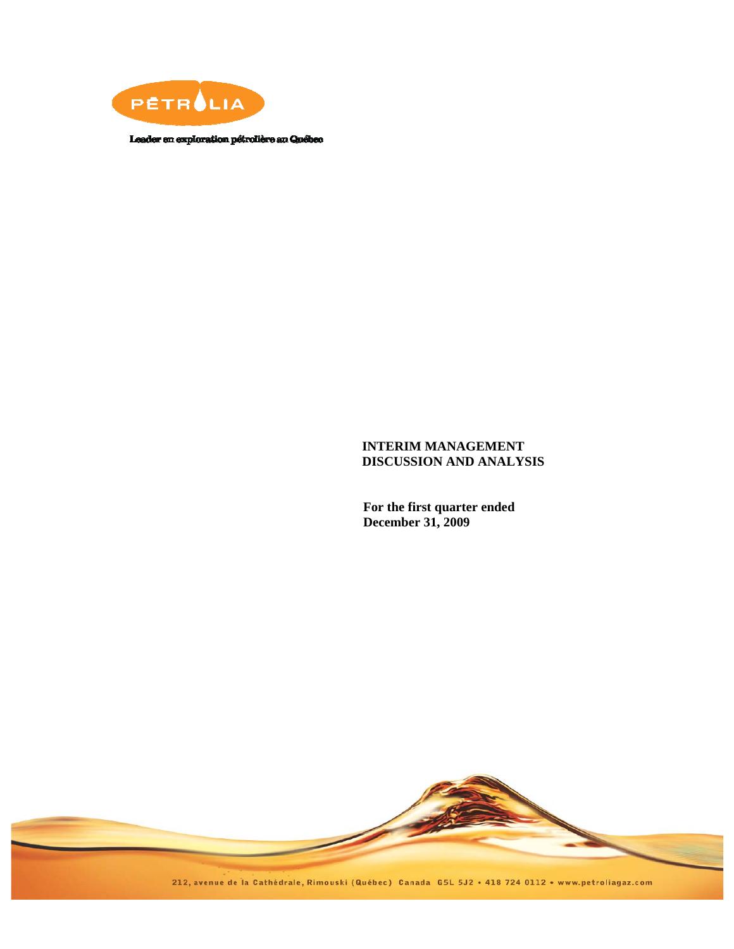

Leader en exploration pétrolière au Québec

# **INTERIM MANAGEMENT DISCUSSION AND ANALYSIS**

**For the first quarter ended December 31, 2009** 

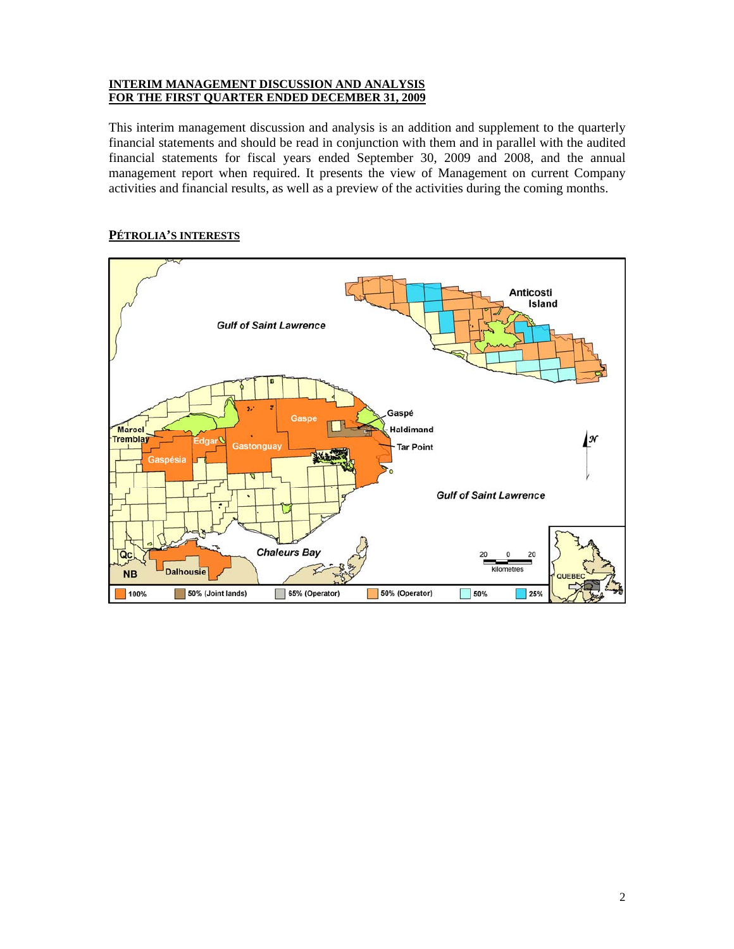#### **INTERIM MANAGEMENT DISCUSSION AND ANALYSIS FOR THE FIRST QUARTER ENDED DECEMBER 31, 2009**

This interim management discussion and analysis is an addition and supplement to the quarterly financial statements and should be read in conjunction with them and in parallel with the audited financial statements for fiscal years ended September 30, 2009 and 2008, and the annual management report when required. It presents the view of Management on current Company activities and financial results, as well as a preview of the activities during the coming months.

# **PÉTROLIA'S INTERESTS**

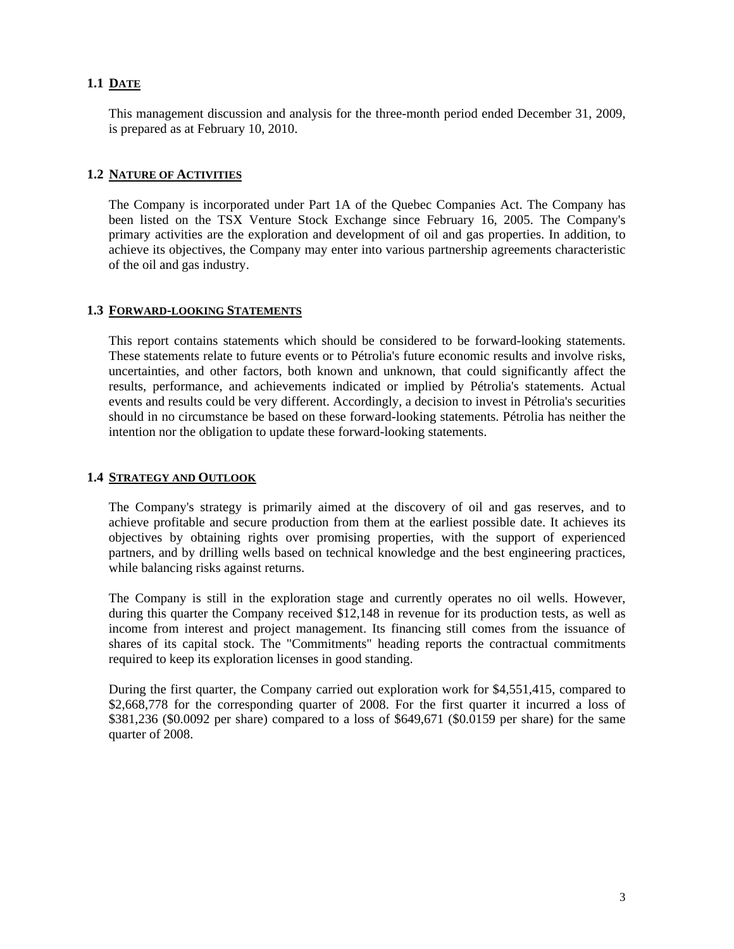# **1.1 DATE**

This management discussion and analysis for the three-month period ended December 31, 2009, is prepared as at February 10, 2010.

### **1.2 NATURE OF ACTIVITIES**

The Company is incorporated under Part 1A of the Quebec Companies Act. The Company has been listed on the TSX Venture Stock Exchange since February 16, 2005. The Company's primary activities are the exploration and development of oil and gas properties. In addition, to achieve its objectives, the Company may enter into various partnership agreements characteristic of the oil and gas industry.

### **1.3 FORWARD-LOOKING STATEMENTS**

This report contains statements which should be considered to be forward-looking statements. These statements relate to future events or to Pétrolia's future economic results and involve risks, uncertainties, and other factors, both known and unknown, that could significantly affect the results, performance, and achievements indicated or implied by Pétrolia's statements. Actual events and results could be very different. Accordingly, a decision to invest in Pétrolia's securities should in no circumstance be based on these forward-looking statements. Pétrolia has neither the intention nor the obligation to update these forward-looking statements.

# **1.4 STRATEGY AND OUTLOOK**

The Company's strategy is primarily aimed at the discovery of oil and gas reserves, and to achieve profitable and secure production from them at the earliest possible date. It achieves its objectives by obtaining rights over promising properties, with the support of experienced partners, and by drilling wells based on technical knowledge and the best engineering practices, while balancing risks against returns.

The Company is still in the exploration stage and currently operates no oil wells. However, during this quarter the Company received \$12,148 in revenue for its production tests, as well as income from interest and project management. Its financing still comes from the issuance of shares of its capital stock. The "Commitments" heading reports the contractual commitments required to keep its exploration licenses in good standing.

During the first quarter, the Company carried out exploration work for \$4,551,415, compared to \$2,668,778 for the corresponding quarter of 2008. For the first quarter it incurred a loss of \$381,236 (\$0.0092 per share) compared to a loss of \$649,671 (\$0.0159 per share) for the same quarter of 2008.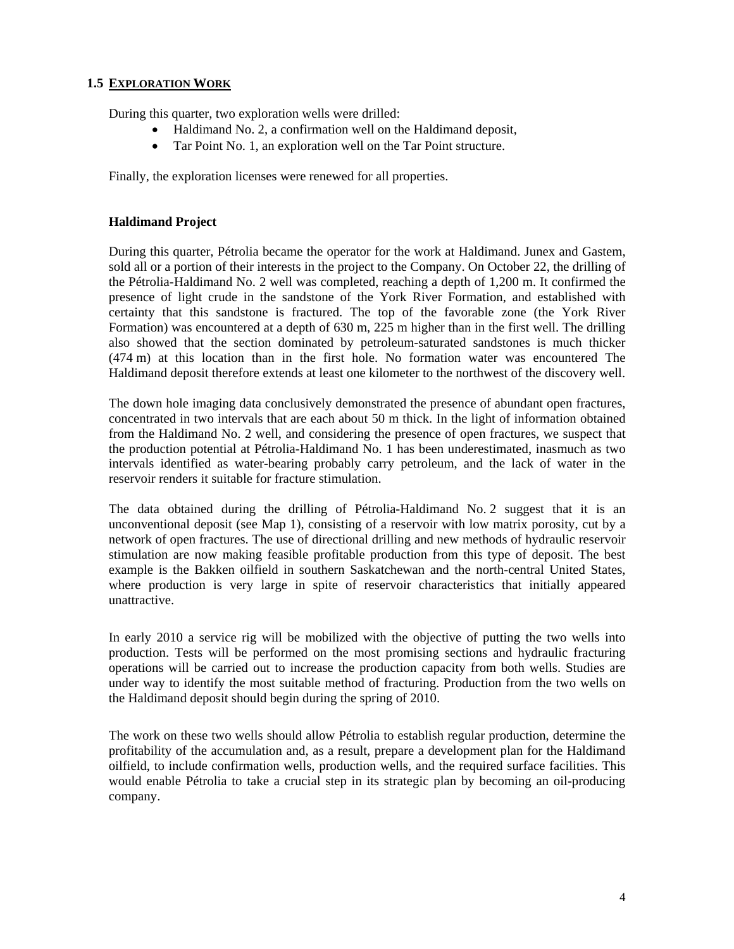# **1.5 EXPLORATION WORK**

During this quarter, two exploration wells were drilled:

- Haldimand No. 2, a confirmation well on the Haldimand deposit,
- Tar Point No. 1, an exploration well on the Tar Point structure.

Finally, the exploration licenses were renewed for all properties.

# **Haldimand Project**

During this quarter, Pétrolia became the operator for the work at Haldimand. Junex and Gastem, sold all or a portion of their interests in the project to the Company. On October 22, the drilling of the Pétrolia-Haldimand No. 2 well was completed, reaching a depth of 1,200 m. It confirmed the presence of light crude in the sandstone of the York River Formation, and established with certainty that this sandstone is fractured. The top of the favorable zone (the York River Formation) was encountered at a depth of 630 m, 225 m higher than in the first well. The drilling also showed that the section dominated by petroleum-saturated sandstones is much thicker (474 m) at this location than in the first hole. No formation water was encountered The Haldimand deposit therefore extends at least one kilometer to the northwest of the discovery well.

The down hole imaging data conclusively demonstrated the presence of abundant open fractures, concentrated in two intervals that are each about 50 m thick. In the light of information obtained from the Haldimand No. 2 well, and considering the presence of open fractures, we suspect that the production potential at Pétrolia-Haldimand No. 1 has been underestimated, inasmuch as two intervals identified as water-bearing probably carry petroleum, and the lack of water in the reservoir renders it suitable for fracture stimulation.

The data obtained during the drilling of Pétrolia-Haldimand No. 2 suggest that it is an unconventional deposit (see Map 1), consisting of a reservoir with low matrix porosity, cut by a network of open fractures. The use of directional drilling and new methods of hydraulic reservoir stimulation are now making feasible profitable production from this type of deposit. The best example is the Bakken oilfield in southern Saskatchewan and the north-central United States, where production is very large in spite of reservoir characteristics that initially appeared unattractive.

In early 2010 a service rig will be mobilized with the objective of putting the two wells into production. Tests will be performed on the most promising sections and hydraulic fracturing operations will be carried out to increase the production capacity from both wells. Studies are under way to identify the most suitable method of fracturing. Production from the two wells on the Haldimand deposit should begin during the spring of 2010.

The work on these two wells should allow Pétrolia to establish regular production, determine the profitability of the accumulation and, as a result, prepare a development plan for the Haldimand oilfield, to include confirmation wells, production wells, and the required surface facilities. This would enable Pétrolia to take a crucial step in its strategic plan by becoming an oil-producing company.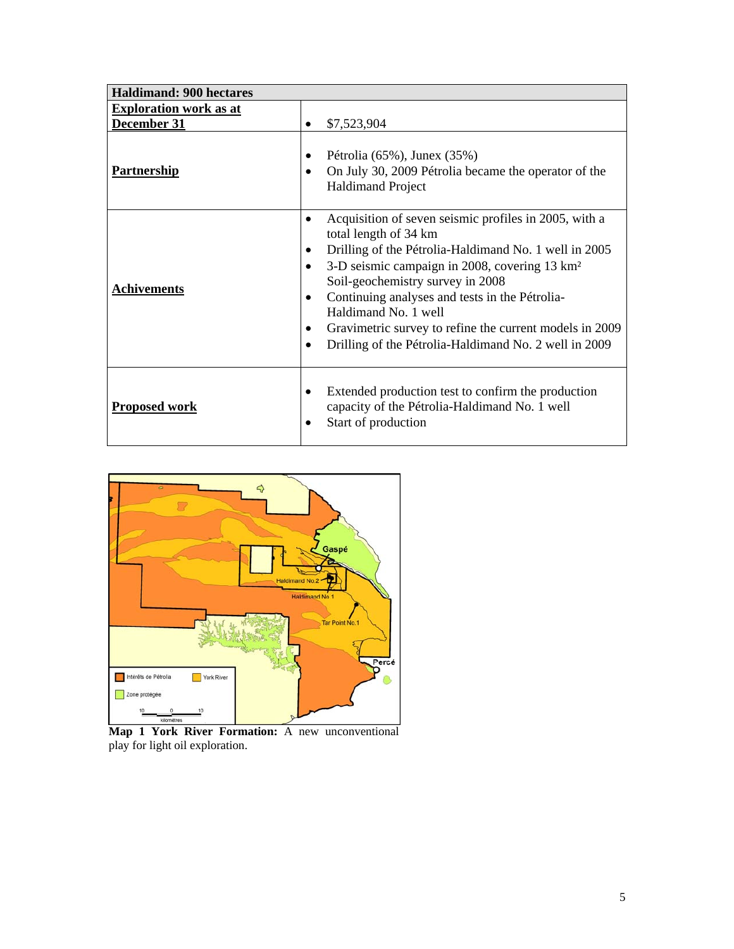| <b>Haldimand: 900 hectares</b>               |                                                                                                                                                                                                                                                                                                                                                                                                                                             |
|----------------------------------------------|---------------------------------------------------------------------------------------------------------------------------------------------------------------------------------------------------------------------------------------------------------------------------------------------------------------------------------------------------------------------------------------------------------------------------------------------|
| <b>Exploration work as at</b><br>December 31 | \$7,523,904                                                                                                                                                                                                                                                                                                                                                                                                                                 |
| <b>Partnership</b>                           | Pétrolia (65%), Junex (35%)<br>On July 30, 2009 Pétrolia became the operator of the<br><b>Haldimand Project</b>                                                                                                                                                                                                                                                                                                                             |
| <b>Achivements</b>                           | Acquisition of seven seismic profiles in 2005, with a<br>total length of 34 km<br>Drilling of the Pétrolia-Haldimand No. 1 well in 2005<br>3-D seismic campaign in 2008, covering 13 km <sup>2</sup><br>Soil-geochemistry survey in 2008<br>Continuing analyses and tests in the Pétrolia-<br>٠<br>Haldimand No. 1 well<br>Gravimetric survey to refine the current models in 2009<br>Drilling of the Pétrolia-Haldimand No. 2 well in 2009 |
| <b>Proposed work</b>                         | Extended production test to confirm the production<br>capacity of the Pétrolia-Haldimand No. 1 well<br>Start of production<br>$\bullet$                                                                                                                                                                                                                                                                                                     |



**Map 1 York River Formation:** A new unconventional play for light oil exploration.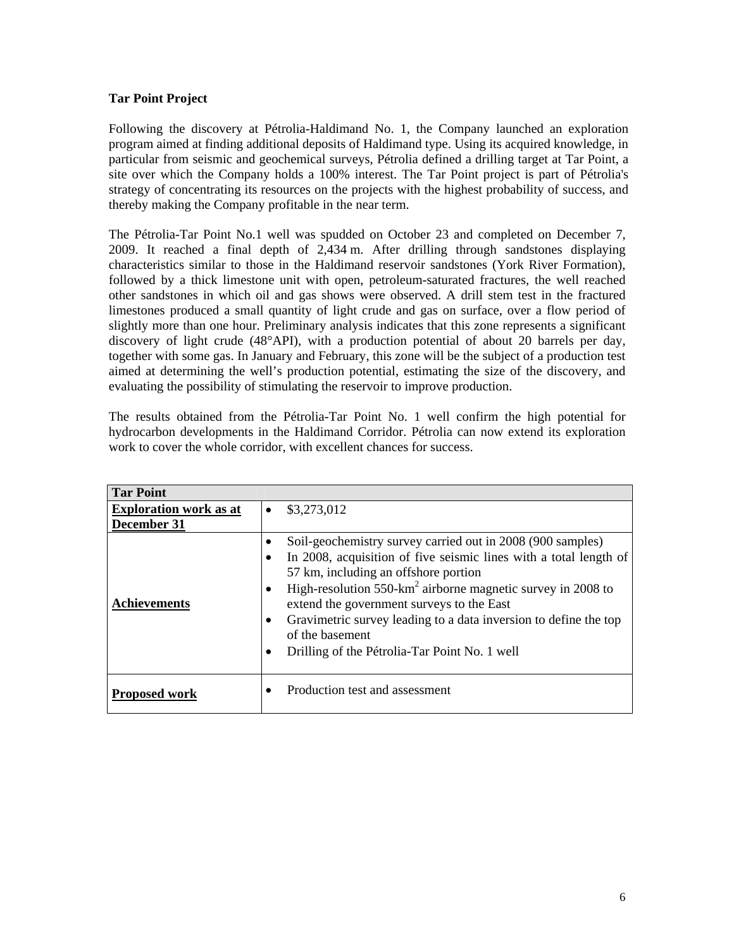# **Tar Point Project**

Following the discovery at Pétrolia-Haldimand No. 1, the Company launched an exploration program aimed at finding additional deposits of Haldimand type. Using its acquired knowledge, in particular from seismic and geochemical surveys, Pétrolia defined a drilling target at Tar Point, a site over which the Company holds a 100% interest. The Tar Point project is part of Pétrolia's strategy of concentrating its resources on the projects with the highest probability of success, and thereby making the Company profitable in the near term.

The Pétrolia-Tar Point No.1 well was spudded on October 23 and completed on December 7, 2009. It reached a final depth of 2,434 m. After drilling through sandstones displaying characteristics similar to those in the Haldimand reservoir sandstones (York River Formation), followed by a thick limestone unit with open, petroleum-saturated fractures, the well reached other sandstones in which oil and gas shows were observed. A drill stem test in the fractured limestones produced a small quantity of light crude and gas on surface, over a flow period of slightly more than one hour. Preliminary analysis indicates that this zone represents a significant discovery of light crude (48°API), with a production potential of about 20 barrels per day, together with some gas. In January and February, this zone will be the subject of a production test aimed at determining the well's production potential, estimating the size of the discovery, and evaluating the possibility of stimulating the reservoir to improve production.

The results obtained from the Pétrolia-Tar Point No. 1 well confirm the high potential for hydrocarbon developments in the Haldimand Corridor. Pétrolia can now extend its exploration work to cover the whole corridor, with excellent chances for success.

| <b>Tar Point</b>                             |           |                                                                                                                                                                                                                                                                                                                                                                                                                                                |
|----------------------------------------------|-----------|------------------------------------------------------------------------------------------------------------------------------------------------------------------------------------------------------------------------------------------------------------------------------------------------------------------------------------------------------------------------------------------------------------------------------------------------|
| <b>Exploration work as at</b><br>December 31 | $\bullet$ | \$3,273,012                                                                                                                                                                                                                                                                                                                                                                                                                                    |
| <b>Achievements</b>                          | $\bullet$ | Soil-geochemistry survey carried out in 2008 (900 samples)<br>In 2008, acquisition of five seismic lines with a total length of<br>57 km, including an offshore portion<br>High-resolution $550 \text{-} \text{km}^2$ airborne magnetic survey in 2008 to<br>extend the government surveys to the East<br>Gravimetric survey leading to a data inversion to define the top<br>of the basement<br>Drilling of the Pétrolia-Tar Point No. 1 well |
| <b>Proposed work</b>                         |           | Production test and assessment                                                                                                                                                                                                                                                                                                                                                                                                                 |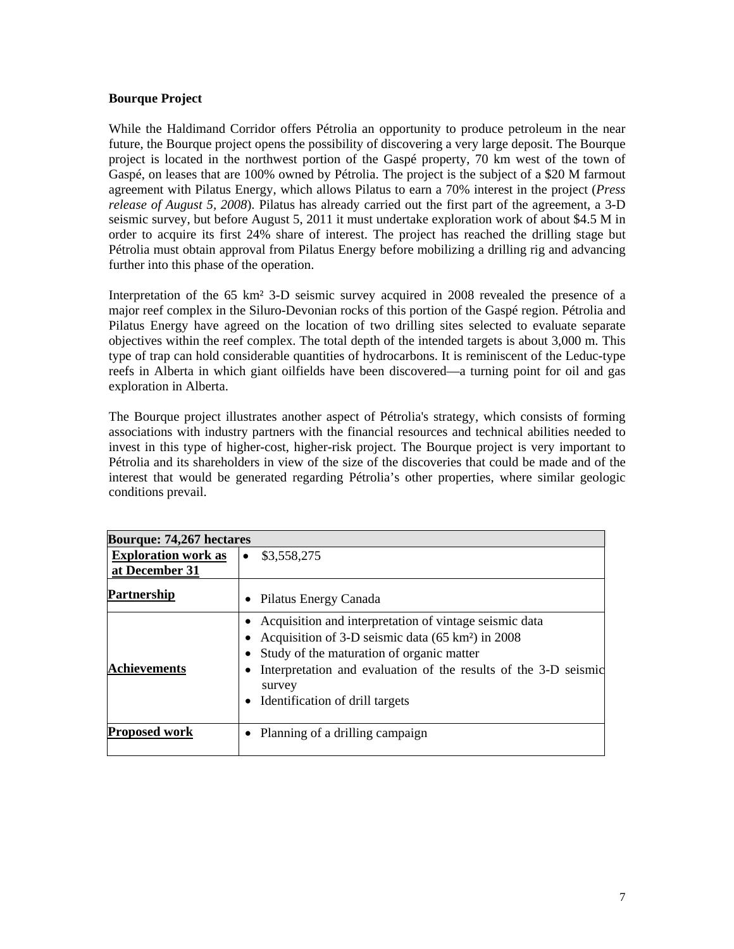# **Bourque Project**

While the Haldimand Corridor offers Pétrolia an opportunity to produce petroleum in the near future, the Bourque project opens the possibility of discovering a very large deposit. The Bourque project is located in the northwest portion of the Gaspé property, 70 km west of the town of Gaspé, on leases that are 100% owned by Pétrolia. The project is the subject of a \$20 M farmout agreement with Pilatus Energy, which allows Pilatus to earn a 70% interest in the project (*Press release of August 5, 2008*). Pilatus has already carried out the first part of the agreement, a 3-D seismic survey, but before August 5, 2011 it must undertake exploration work of about \$4.5 M in order to acquire its first 24% share of interest. The project has reached the drilling stage but Pétrolia must obtain approval from Pilatus Energy before mobilizing a drilling rig and advancing further into this phase of the operation.

Interpretation of the 65 km² 3-D seismic survey acquired in 2008 revealed the presence of a major reef complex in the Siluro-Devonian rocks of this portion of the Gaspé region. Pétrolia and Pilatus Energy have agreed on the location of two drilling sites selected to evaluate separate objectives within the reef complex. The total depth of the intended targets is about 3,000 m. This type of trap can hold considerable quantities of hydrocarbons. It is reminiscent of the Leduc-type reefs in Alberta in which giant oilfields have been discovered—a turning point for oil and gas exploration in Alberta.

The Bourque project illustrates another aspect of Pétrolia's strategy, which consists of forming associations with industry partners with the financial resources and technical abilities needed to invest in this type of higher-cost, higher-risk project. The Bourque project is very important to Pétrolia and its shareholders in view of the size of the discoveries that could be made and of the interest that would be generated regarding Pétrolia's other properties, where similar geologic conditions prevail.

| <b>Bourque: 74,267 hectares</b>              |                                                                                                                                                                                                                                                                                      |  |  |  |
|----------------------------------------------|--------------------------------------------------------------------------------------------------------------------------------------------------------------------------------------------------------------------------------------------------------------------------------------|--|--|--|
| <b>Exploration work as</b><br>at December 31 | \$3,558,275<br>$\bullet$                                                                                                                                                                                                                                                             |  |  |  |
| <b>Partnership</b>                           | Pilatus Energy Canada                                                                                                                                                                                                                                                                |  |  |  |
| <b>Achievements</b>                          | Acquisition and interpretation of vintage seismic data<br>Acquisition of 3-D seismic data (65 km <sup>2</sup> ) in 2008<br>Study of the maturation of organic matter<br>Interpretation and evaluation of the results of the 3-D seismic<br>survey<br>Identification of drill targets |  |  |  |
| <b>Proposed work</b>                         | Planning of a drilling campaign                                                                                                                                                                                                                                                      |  |  |  |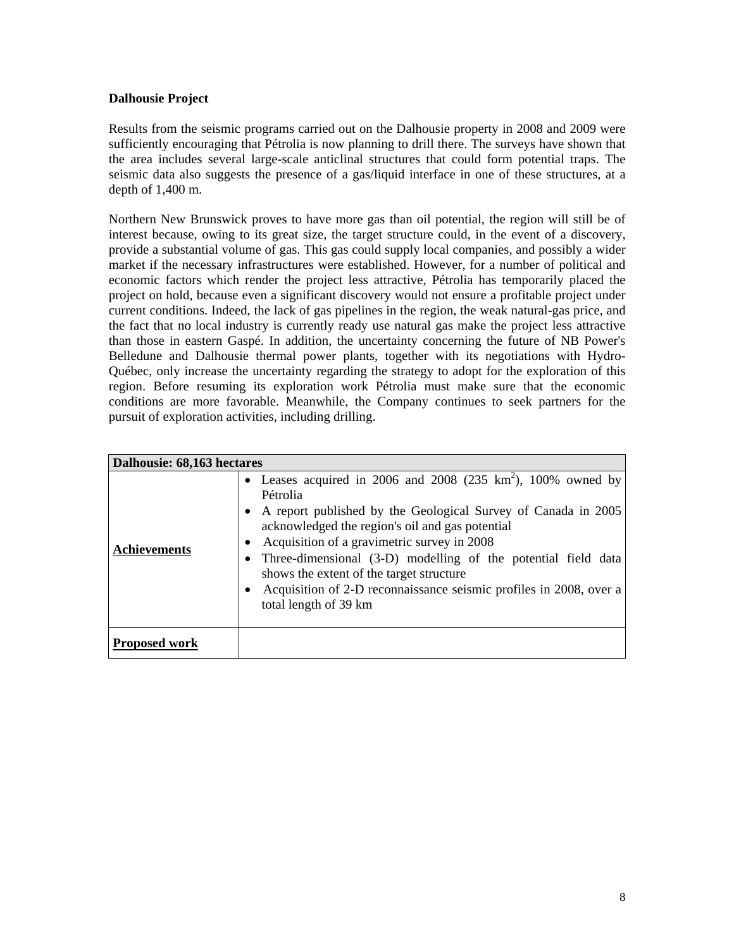# **Dalhousie Project**

Results from the seismic programs carried out on the Dalhousie property in 2008 and 2009 were sufficiently encouraging that Pétrolia is now planning to drill there. The surveys have shown that the area includes several large-scale anticlinal structures that could form potential traps. The seismic data also suggests the presence of a gas/liquid interface in one of these structures, at a depth of 1,400 m.

Northern New Brunswick proves to have more gas than oil potential, the region will still be of interest because, owing to its great size, the target structure could, in the event of a discovery, provide a substantial volume of gas. This gas could supply local companies, and possibly a wider market if the necessary infrastructures were established. However, for a number of political and economic factors which render the project less attractive, Pétrolia has temporarily placed the project on hold, because even a significant discovery would not ensure a profitable project under current conditions. Indeed, the lack of gas pipelines in the region, the weak natural-gas price, and the fact that no local industry is currently ready use natural gas make the project less attractive than those in eastern Gaspé. In addition, the uncertainty concerning the future of NB Power's Belledune and Dalhousie thermal power plants, together with its negotiations with Hydro-Québec, only increase the uncertainty regarding the strategy to adopt for the exploration of this region. Before resuming its exploration work Pétrolia must make sure that the economic conditions are more favorable. Meanwhile, the Company continues to seek partners for the pursuit of exploration activities, including drilling.

| Dalhousie: 68,163 hectares |                                                                                                                                                                                                                                                                                                                                                                                                                                                                                                    |  |  |  |  |
|----------------------------|----------------------------------------------------------------------------------------------------------------------------------------------------------------------------------------------------------------------------------------------------------------------------------------------------------------------------------------------------------------------------------------------------------------------------------------------------------------------------------------------------|--|--|--|--|
| <b>Achievements</b>        | • Leases acquired in 2006 and 2008 (235 km <sup>2</sup> ), 100% owned by<br>Pétrolia<br>A report published by the Geological Survey of Canada in 2005<br>$\bullet$<br>acknowledged the region's oil and gas potential<br>Acquisition of a gravimetric survey in 2008<br>Three-dimensional (3-D) modelling of the potential field data<br>٠<br>shows the extent of the target structure<br>Acquisition of 2-D reconnaissance seismic profiles in 2008, over a<br>$\bullet$<br>total length of 39 km |  |  |  |  |
| <b>Proposed work</b>       |                                                                                                                                                                                                                                                                                                                                                                                                                                                                                                    |  |  |  |  |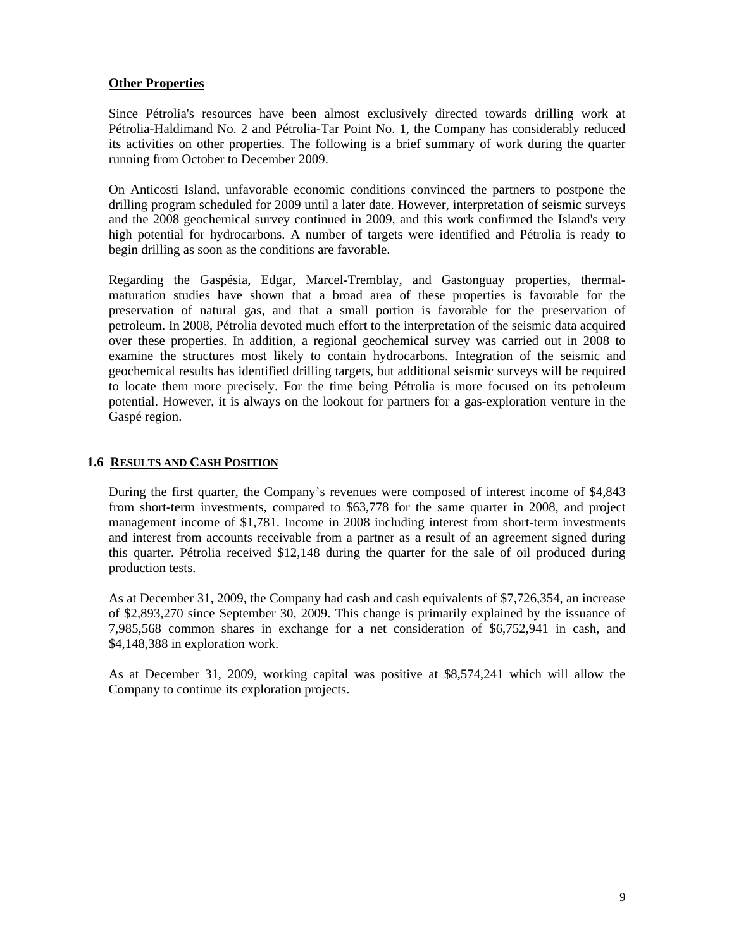### **Other Properties**

Since Pétrolia's resources have been almost exclusively directed towards drilling work at Pétrolia-Haldimand No. 2 and Pétrolia-Tar Point No. 1, the Company has considerably reduced its activities on other properties. The following is a brief summary of work during the quarter running from October to December 2009.

On Anticosti Island, unfavorable economic conditions convinced the partners to postpone the drilling program scheduled for 2009 until a later date. However, interpretation of seismic surveys and the 2008 geochemical survey continued in 2009, and this work confirmed the Island's very high potential for hydrocarbons. A number of targets were identified and Pétrolia is ready to begin drilling as soon as the conditions are favorable.

Regarding the Gaspésia, Edgar, Marcel-Tremblay, and Gastonguay properties, thermalmaturation studies have shown that a broad area of these properties is favorable for the preservation of natural gas, and that a small portion is favorable for the preservation of petroleum. In 2008, Pétrolia devoted much effort to the interpretation of the seismic data acquired over these properties. In addition, a regional geochemical survey was carried out in 2008 to examine the structures most likely to contain hydrocarbons. Integration of the seismic and geochemical results has identified drilling targets, but additional seismic surveys will be required to locate them more precisely. For the time being Pétrolia is more focused on its petroleum potential. However, it is always on the lookout for partners for a gas-exploration venture in the Gaspé region.

### **1.6 RESULTS AND CASH POSITION**

During the first quarter, the Company's revenues were composed of interest income of \$4,843 from short-term investments, compared to \$63,778 for the same quarter in 2008, and project management income of \$1,781. Income in 2008 including interest from short-term investments and interest from accounts receivable from a partner as a result of an agreement signed during this quarter. Pétrolia received \$12,148 during the quarter for the sale of oil produced during production tests.

As at December 31, 2009, the Company had cash and cash equivalents of \$7,726,354, an increase of \$2,893,270 since September 30, 2009. This change is primarily explained by the issuance of 7,985,568 common shares in exchange for a net consideration of \$6,752,941 in cash, and \$4,148,388 in exploration work.

As at December 31, 2009, working capital was positive at \$8,574,241 which will allow the Company to continue its exploration projects.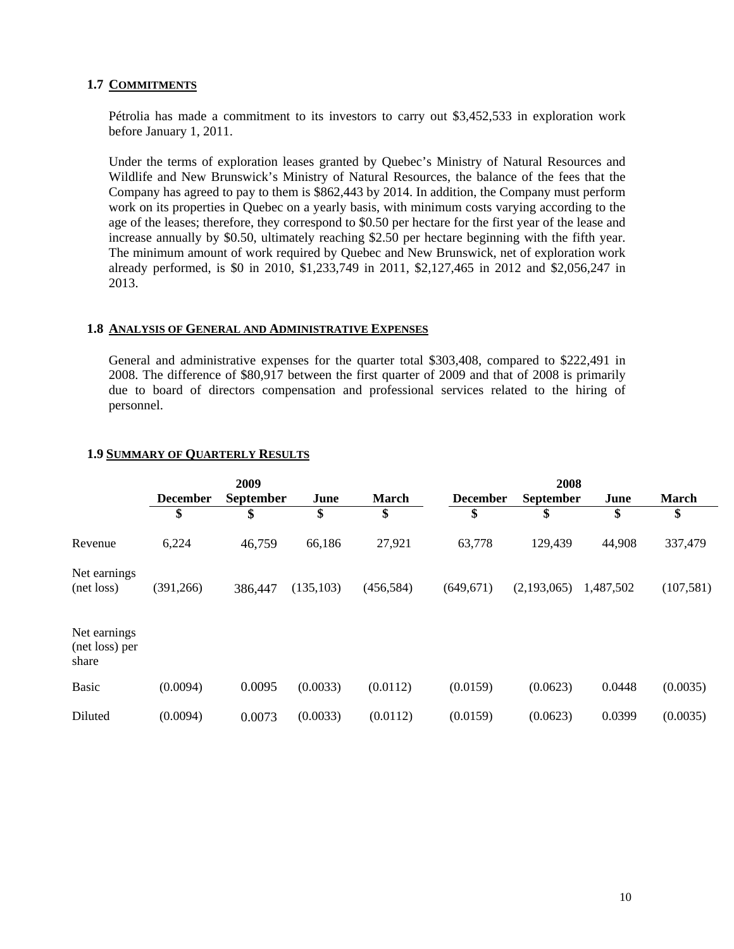### **1.7 COMMITMENTS**

Pétrolia has made a commitment to its investors to carry out \$3,452,533 in exploration work before January 1, 2011.

Under the terms of exploration leases granted by Quebec's Ministry of Natural Resources and Wildlife and New Brunswick's Ministry of Natural Resources, the balance of the fees that the Company has agreed to pay to them is \$862,443 by 2014. In addition, the Company must perform work on its properties in Quebec on a yearly basis, with minimum costs varying according to the age of the leases; therefore, they correspond to \$0.50 per hectare for the first year of the lease and increase annually by \$0.50, ultimately reaching \$2.50 per hectare beginning with the fifth year. The minimum amount of work required by Quebec and New Brunswick, net of exploration work already performed, is \$0 in 2010, \$1,233,749 in 2011, \$2,127,465 in 2012 and \$2,056,247 in 2013.

#### **1.8 ANALYSIS OF GENERAL AND ADMINISTRATIVE EXPENSES**

General and administrative expenses for the quarter total \$303,408, compared to \$222,491 in 2008. The difference of \$80,917 between the first quarter of 2009 and that of 2008 is primarily due to board of directors compensation and professional services related to the hiring of personnel.

|                                         | 2009            |                  |            | 2008         |                 |                  |           |              |
|-----------------------------------------|-----------------|------------------|------------|--------------|-----------------|------------------|-----------|--------------|
|                                         | <b>December</b> | <b>September</b> | June       | <b>March</b> | <b>December</b> | <b>September</b> | June      | <b>March</b> |
|                                         | \$              | \$               | \$         | \$           | \$              | \$               | \$        | \$           |
| Revenue                                 | 6,224           | 46,759           | 66,186     | 27,921       | 63,778          | 129,439          | 44,908    | 337,479      |
| Net earnings<br>(net loss)              | (391, 266)      | 386,447          | (135, 103) | (456, 584)   | (649, 671)      | (2,193,065)      | 1,487,502 | (107,581)    |
| Net earnings<br>(net loss) per<br>share |                 |                  |            |              |                 |                  |           |              |
| <b>Basic</b>                            | (0.0094)        | 0.0095           | (0.0033)   | (0.0112)     | (0.0159)        | (0.0623)         | 0.0448    | (0.0035)     |
| Diluted                                 | (0.0094)        | 0.0073           | (0.0033)   | (0.0112)     | (0.0159)        | (0.0623)         | 0.0399    | (0.0035)     |

### **1.9 SUMMARY OF QUARTERLY RESULTS**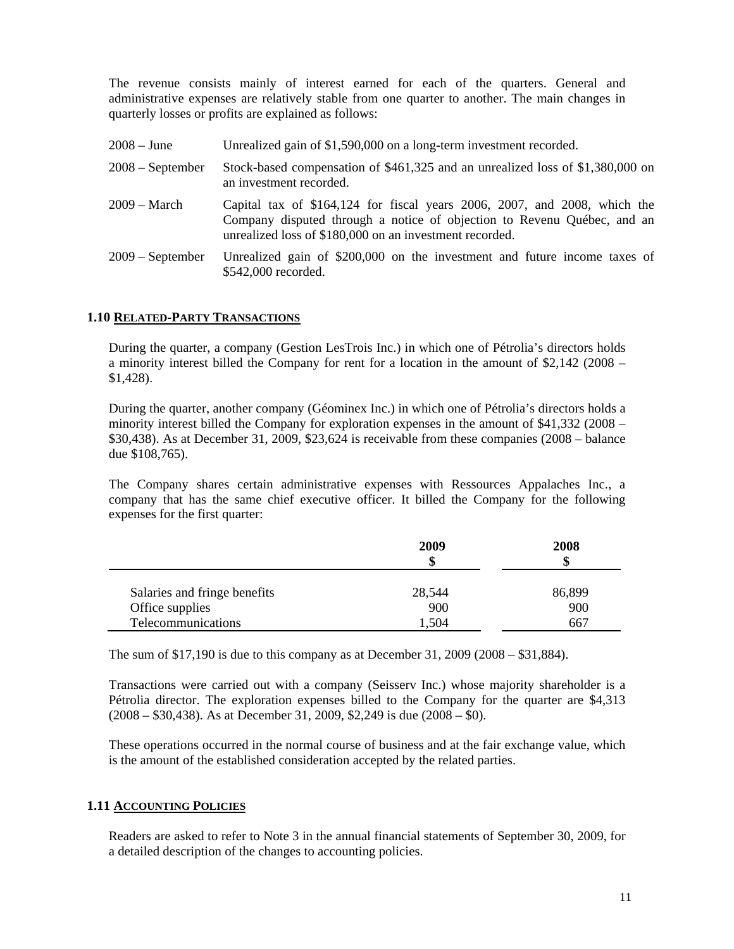The revenue consists mainly of interest earned for each of the quarters. General and administrative expenses are relatively stable from one quarter to another. The main changes in quarterly losses or profits are explained as follows:

| $2008 - June$      | Unrealized gain of \$1,590,000 on a long-term investment recorded.                                                                                                                                               |
|--------------------|------------------------------------------------------------------------------------------------------------------------------------------------------------------------------------------------------------------|
| $2008 - September$ | Stock-based compensation of \$461,325 and an unrealized loss of \$1,380,000 on<br>an investment recorded.                                                                                                        |
| $2009 - March$     | Capital tax of $$164,124$ for fiscal years 2006, 2007, and 2008, which the<br>Company disputed through a notice of objection to Revenu Québec, and an<br>unrealized loss of \$180,000 on an investment recorded. |
| $2009 - September$ | Unrealized gain of \$200,000 on the investment and future income taxes of<br>\$542,000 recorded.                                                                                                                 |

#### **1.10 RELATED-PARTY TRANSACTIONS**

During the quarter, a company (Gestion LesTrois Inc.) in which one of Pétrolia's directors holds a minority interest billed the Company for rent for a location in the amount of \$2,142 (2008 – \$1,428).

During the quarter, another company (Géominex Inc.) in which one of Pétrolia's directors holds a minority interest billed the Company for exploration expenses in the amount of \$41,332 (2008 – \$30,438). As at December 31, 2009, \$23,624 is receivable from these companies (2008 – balance due \$108,765).

The Company shares certain administrative expenses with Ressources Appalaches Inc., a company that has the same chief executive officer. It billed the Company for the following expenses for the first quarter:

|                              | 2009<br>S | 2008   |
|------------------------------|-----------|--------|
| Salaries and fringe benefits | 28,544    | 86,899 |
| Office supplies              | 900       | 900    |
| Telecommunications           | 1.504     | 667    |

The sum of \$17,190 is due to this company as at December 31, 2009 (2008 – \$31,884).

Transactions were carried out with a company (Seisserv Inc.) whose majority shareholder is a Pétrolia director. The exploration expenses billed to the Company for the quarter are \$4,313 (2008 – \$30,438). As at December 31, 2009, \$2,249 is due (2008 – \$0).

These operations occurred in the normal course of business and at the fair exchange value, which is the amount of the established consideration accepted by the related parties.

# **1.11 ACCOUNTING POLICIES**

Readers are asked to refer to Note 3 in the annual financial statements of September 30, 2009, for a detailed description of the changes to accounting policies.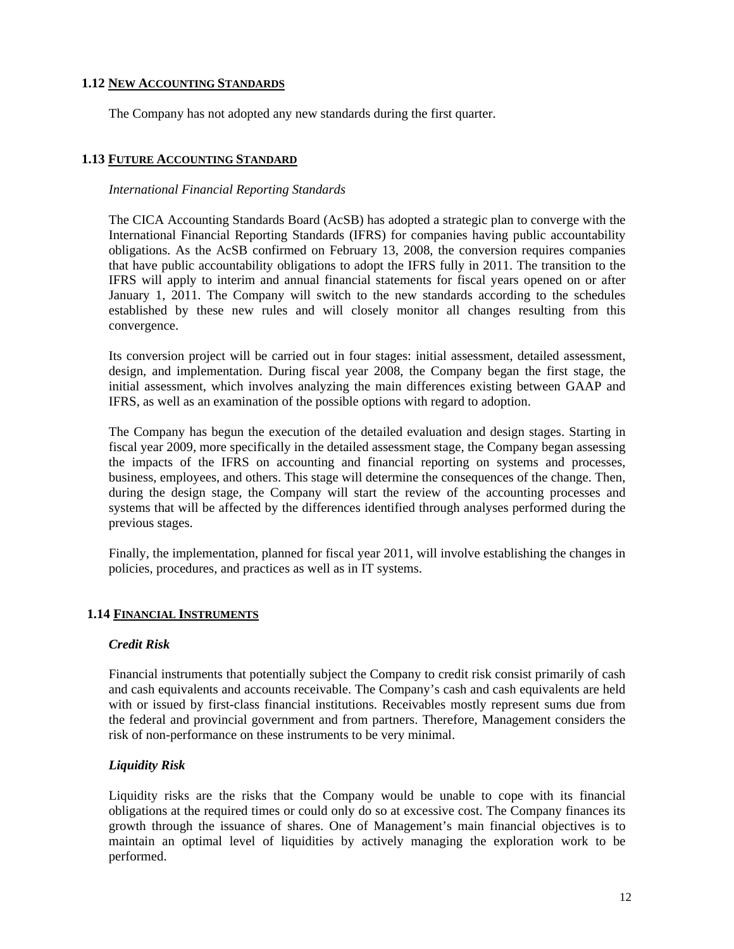#### **1.12 NEW ACCOUNTING STANDARDS**

The Company has not adopted any new standards during the first quarter.

### **1.13 FUTURE ACCOUNTING STANDARD**

#### *International Financial Reporting Standards*

The CICA Accounting Standards Board (AcSB) has adopted a strategic plan to converge with the International Financial Reporting Standards (IFRS) for companies having public accountability obligations. As the AcSB confirmed on February 13, 2008, the conversion requires companies that have public accountability obligations to adopt the IFRS fully in 2011. The transition to the IFRS will apply to interim and annual financial statements for fiscal years opened on or after January 1, 2011. The Company will switch to the new standards according to the schedules established by these new rules and will closely monitor all changes resulting from this convergence.

Its conversion project will be carried out in four stages: initial assessment, detailed assessment, design, and implementation. During fiscal year 2008, the Company began the first stage, the initial assessment, which involves analyzing the main differences existing between GAAP and IFRS, as well as an examination of the possible options with regard to adoption.

The Company has begun the execution of the detailed evaluation and design stages. Starting in fiscal year 2009, more specifically in the detailed assessment stage, the Company began assessing the impacts of the IFRS on accounting and financial reporting on systems and processes, business, employees, and others. This stage will determine the consequences of the change. Then, during the design stage, the Company will start the review of the accounting processes and systems that will be affected by the differences identified through analyses performed during the previous stages.

Finally, the implementation, planned for fiscal year 2011, will involve establishing the changes in policies, procedures, and practices as well as in IT systems.

### **1.14 FINANCIAL INSTRUMENTS**

#### *Credit Risk*

Financial instruments that potentially subject the Company to credit risk consist primarily of cash and cash equivalents and accounts receivable. The Company's cash and cash equivalents are held with or issued by first-class financial institutions. Receivables mostly represent sums due from the federal and provincial government and from partners. Therefore, Management considers the risk of non-performance on these instruments to be very minimal.

### *Liquidity Risk*

Liquidity risks are the risks that the Company would be unable to cope with its financial obligations at the required times or could only do so at excessive cost. The Company finances its growth through the issuance of shares. One of Management's main financial objectives is to maintain an optimal level of liquidities by actively managing the exploration work to be performed.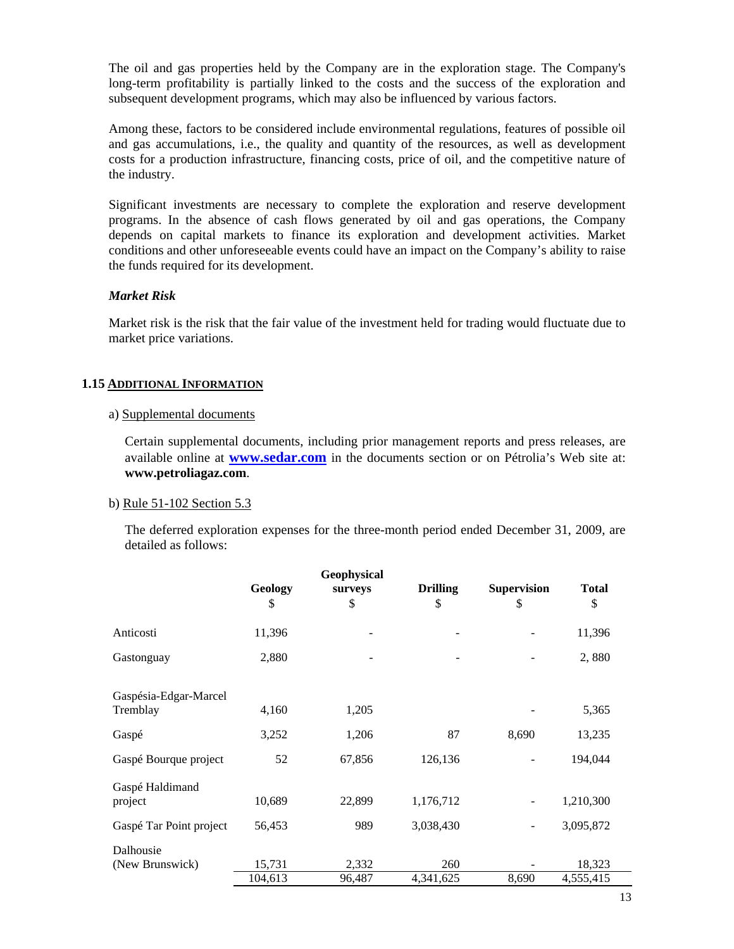The oil and gas properties held by the Company are in the exploration stage. The Company's long-term profitability is partially linked to the costs and the success of the exploration and subsequent development programs, which may also be influenced by various factors.

Among these, factors to be considered include environmental regulations, features of possible oil and gas accumulations, i.e., the quality and quantity of the resources, as well as development costs for a production infrastructure, financing costs, price of oil, and the competitive nature of the industry.

Significant investments are necessary to complete the exploration and reserve development programs. In the absence of cash flows generated by oil and gas operations, the Company depends on capital markets to finance its exploration and development activities. Market conditions and other unforeseeable events could have an impact on the Company's ability to raise the funds required for its development.

### *Market Risk*

Market risk is the risk that the fair value of the investment held for trading would fluctuate due to market price variations.

### **1.15 ADDITIONAL INFORMATION**

# a) Supplemental documents

Certain supplemental documents, including prior management reports and press releases, are available online at **www.sedar.com** in the documents section or on Pétrolia's Web site at: **www.petroliagaz.com**.

### b) Rule 51-102 Section 5.3

The deferred exploration expenses for the three-month period ended December 31, 2009, are detailed as follows:

|                         | Geology | Geophysical<br>surveys | <b>Drilling</b> | <b>Supervision</b>       | <b>Total</b> |
|-------------------------|---------|------------------------|-----------------|--------------------------|--------------|
|                         | \$      | \$                     | \$              | \$                       | \$           |
| Anticosti               | 11,396  |                        |                 |                          | 11,396       |
| Gastonguay              | 2,880   |                        |                 |                          | 2,880        |
|                         |         |                        |                 |                          |              |
| Gaspésia-Edgar-Marcel   |         |                        |                 |                          |              |
| Tremblay                | 4,160   | 1,205                  |                 |                          | 5,365        |
| Gaspé                   | 3,252   | 1,206                  | 87              | 8,690                    | 13,235       |
| Gaspé Bourque project   | 52      | 67,856                 | 126,136         |                          | 194,044      |
| Gaspé Haldimand         |         |                        |                 |                          |              |
| project                 | 10,689  | 22,899                 | 1,176,712       |                          | 1,210,300    |
| Gaspé Tar Point project | 56,453  | 989                    | 3,038,430       | $\overline{\phantom{a}}$ | 3,095,872    |
| Dalhousie               |         |                        |                 |                          |              |
| (New Brunswick)         | 15,731  | 2,332                  | 260             |                          | 18,323       |
|                         | 104,613 | 96,487                 | 4,341,625       | 8,690                    | 4,555,415    |